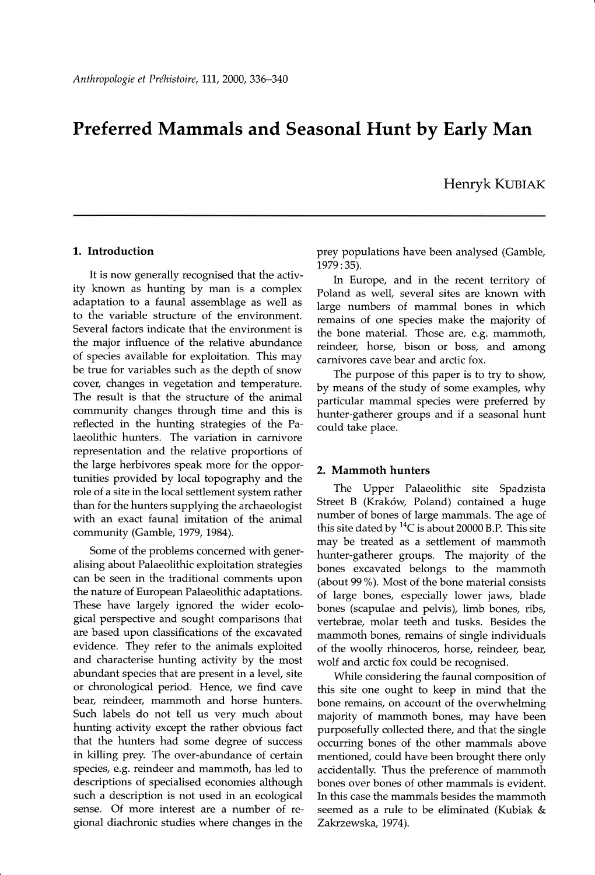# Preferred Mammals and Seasonal Hunt by Early Man

Henryk KUBIAK

### L. Introduction

It is now generally recognised that the activity known as hunting by man is a complex adaptation to a faunal assemblage as well as to the variable structure of the environment. Several factors indicate that the environment is the major influence of the relative abundance of species available for exploitation. This may be true for variables such as the depth of snow cover, changes in vegetation and temperature. The result is that the structure of the animal community changes through time and this is reflected in the hunting strategies of the Palaeolithic hunters. The variation in carnivore representation and the relative proportions of the large herbivores speak more for the opportunities provided by local topography and the role of a site in the local settlement system rather than for the hunters supplying the archaeologist with an exact faunal imitation of the animal community (Gamble, 1979, 1984).

Some of the problems concerned with generalising about Palaeolithic exploitation strategies can be seen in the traditional comments upon the nature of European Palaeolithic adaptations. These have largely ignored the wider ecological perspective and sought comparisons that are based upon classifications of the excavated evidence. They refer to the animals exploited and characterise hunting activity by the most abundant species that are present in a level, site or chronological period. Hence, we find cave bear, reindeer, mammoth and horse hunters. Such labels do not tell us very much about hunting activity except the rather obvious fact that the hunters had some degree of success in killing prey. The over-abundance of certain species, e.g. reindeer and mammoth, has led to descriptions of specialised economies although such a description is not used in an ecological sense. Of more interest are a number of regional diachronic studies where changes in the

prey populations have been analysed (Gamble, 1979:35).

In Europe, and in the recent territory of Poland as well, several sites are known with large numbers of mammal bones in which remains of one species make the majority of the bone material. Those are, e.g. mammoth, reindeer, horse, bison or boss, and among carnivores cave bear and arctic fox.

The purpose of this paper is to try to shoW by means of the study of some examples, why particular mammal species were preferred by hunter-gatherer groups and if a seasonal hunt could take place.

#### 2. Mammoth hunters

The Upper Palaeolithic site Spadzista Street B (Krak6w, Poland) contained a huge number of bones of large mammals. The age of this site dated by  ${}^{14}C$  is about 20000 B.P. This site may be treated as a settlement of mammoth hunter-gatherer groups. The majority of the bones excavated belongs to the mammoth (about 99%). Most of the bone material consists of large bones, especially lower jaws, blade bones (scapulae and pelvis), limb bones, ribs, vertebrae, molar teeth and tusks. Besides the mammoth bones, remains of single individuals of the woolly rhinoceros, horse, reindeer, bear, wolf and arctic fox could be recognised.

While considering the faunal composition of this site one ought to keep in mind that the bone remains, on account of the overwhelming majority of mammoth bones, may have been purposefully collected there, and that the single occurring bones of the other mammals above mentioned, could have been brought there only accidentally. Thus the preference of mammoth bones over bones of other mammals is evident. In this case the mammals besides the mammoth seemed as a rule to be eliminated (Kubiak & Zakrzewska, 1974).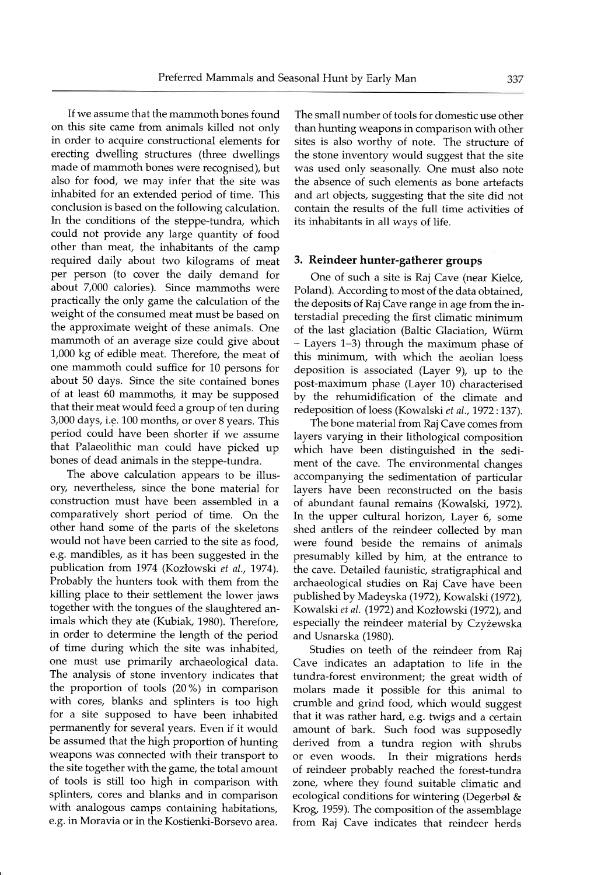If we assume that the mammoth bones found on this site came from animals killed not only in order to acquire constructional elements for erecting dwelling structures (three dwellings made of mammoth bones were recognised), but also for food, we may infer that the site was inhabited for an extended period of time. This conclusion is based on the following calculation. In the conditions of the steppe-tundra, which could not provide any large quantity of food other than meat, the inhabitants of the camp required daily about two kilograms of meat per person (to cover the daily demand for about 7,000 calories). Since mammoths were practically the only game the calculation of the weight of the consumed meat must be based on the approximate weight of these animals. One mammoth of an average size could give about 1,000 kg of edible meat. Therefore, the meat of one mammoth could suffice for 10 persons for about 50 days. Since the site contained bones of at least 60 mammoths, it may be supposed that their meat would feed a group of ten during 3,000 days, i.e. 100 months, or over 8 years. This period could have been shorter if we assume that Palaeolithic man could have picked up bones of dead animals in the steppe-tundra.

The above calculation appears to be illusory, nevertheless, since the bone material for construction must have been assembled in a comparatively short period of time. On the other hand some of the parts of the skeletons would not have been carried to the site as food, e.g. mandibles, as it has been suggested in the publication from 1974 (Kozłowski et al., 1974). Probably the hunters took with them from the killing place to their settlement the lower jaws together with the tongues of the slaughtered animals which they ate (Kubiak, 1980). Therefore, in order to determine the length of the period of time during which the site was inhabited, one must use primarily archaeological data. The analysis of stone inventory indicates that the proportion of tools (20%) in comparison with cores, blanks and splinters is too high for a site supposed to have been inhabited permanently for several years. Even if it would be assumed that the high proportion of hunting weapons was connected with their transport to the site together with the game, the total amount of tools is still too high in comparison with splinters, cores and blanks and in comparison with analogous camps containing habitations, e.g. in Moravia or in the Kostienki-Borsevo area.

The small number of tools for domestic use other than hunting weapons in comparison with other sites is also worthy of note. The structure of the stone inventory would suggest that the site was used only seasonally. One must also note the absence of such elements as bone artefacts and art objects, suggesting that the site did not contain the results of the full time activities of its inhabitants in all wavs of life.

#### 3. Reindeer hunter-gatherer groups

One of such a site is Raj Cave (near Kielce, Poland). According to most of the data obtained, the deposits of Raj Cave range in age from the interstadial preceding the first climatic minimum of the last glaciation (Baltic Glaciation, Würm - Layers 1-3) through the maximum phase of this minimum, with which the aeolian loess deposition is associated (Layer 9), up to the post-maximum phase (Layer 10) characterised by the rehumidification of the climate and redeposition of loess (Kowalski et al., 1972:137).

The bone material from Raj Cave comes from layers varying in their lithological composition which have been distinguished in the sediment of the cave. The environmental changes accompanying the sedimentation of particular layers have been reconstructed on the basis of abundant faunal remains (Kowalski, 1972). In the upper cultural horizon, Layer 6, some shed antlers of the reindeer collected by man were found beside the remains of animals presumably killed by him, at the entrance to the cave. Detailed faunistic, stratigraphical and archaeological studies on Raj Cave have been published by Madeyska (1972), Kowalski (1972), Kowalski et al. (1972) and Kozłowski (1972), and especially the reindeer material by Czyżewska and Usnarska (1980).

Studies on teeth of the reindeer from Raj Cave indicates an adaptation to life in the tundra-forest environment; the great width of molars made it possible for this animal to crumble and grind food, which would suggest that it was rather hard, e.g. twigs and a certain amount of bark. Such food was supposedly derived from a tundra region with shrubs or even woods. In their migrations herds of reindeer probably reached the forest-tundra zone, where they found suitable climatic and ecological conditions for wintering (Degerbøl  $\&$ Krog, 1959). The composition of the assemblage from Raj Cave indicates that reindeer herds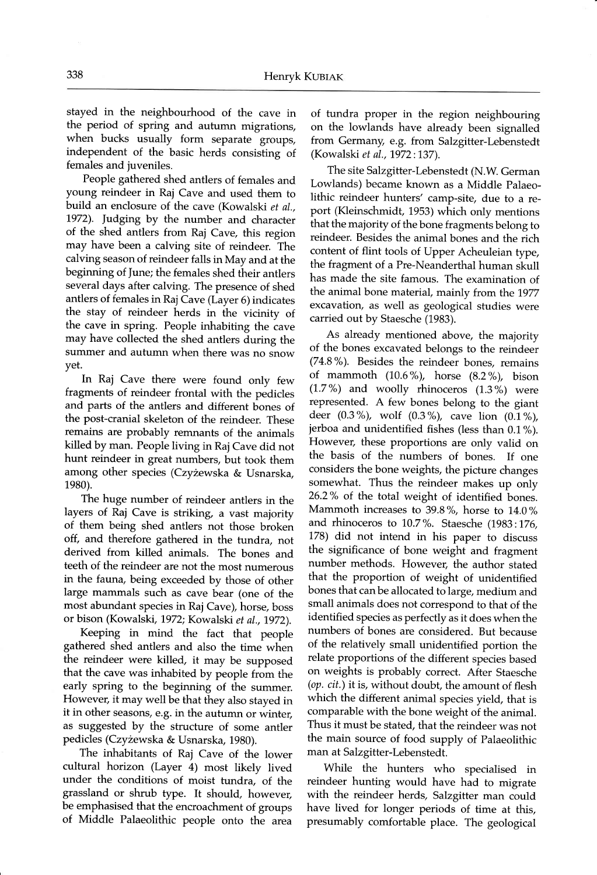stayed in the neighbourhood of the cave in the period of spring and autumn migrations, when bucks usually form separate groups, independent of the basic herds consisting of females and juveniles.

People gathered shed antlers of females and young reindeer in Raj Cave and used them to build an enclosure of the cave (Kowalski et al., 1972). judging by the number and character of the shed antlers from Raj Cave, this region may have been a calving site of reindeer. The calving season of reindeer falls in May and at the beginning of June; the females shed their antlers several days after calving. The presence of shed antlers of females in Raj Cave (Layer 6) indicates the stay of reindeer herds in the vicinity of the cave in spring. People inhabiting the cave may have collected the shed antlers during the summer and aufumn when there was no snow yet.

In Raj Cave there were found only few fragments of reindeer frontal with the pedicles and parts of the antlers and different bones of the post-cranial skeleton of the reindeer. These remains are probably remnants of the animals killed by man. People living in Raj Cave did not hunt reindeer in great numbers, but took them among other species (Czyżewska & Usnarska, 1980).

The huge number of reindeer antlers in the layers of Raj Cave is striking, a vast majority of them being shed antlers not those broken off, and therefore gathered in the tundra, not derived from killed animals. The bones and teeth of the reindeer are not the most numerous in the fauna, being exceeded by those of other large mammals such as cave bear (one of the most abundant species in Raj Cave), horse, boss or bison (Kowalski, 1972; Kowalski et al., 1972).

Keeping in mind the fact that people gathered shed antlers and also the time when the reindeer were killed, it may be supposed that the cave was inhabited by people from the early spring to the beginning of the summer. However, it may well be that they also stayed in it in other seasons, e.g. in the autumn or winter, as suggested by the structure of some antler pedicles (Czyżewska & Usnarska, 1980).

The inhabitants of Raj Cave of the lower cultural horizon (Layer 4) most likely lived under the conditions of moist tundra, of the grassland or shrub type. It should, however, be emphasised that the encroachment of groups of Middle Palaeolithic people onto the area

of tundra proper in the region neighbouring on the lowlands have already been signalled from Germany, e.g. from Salzgitter-Lebenstedt (Kowalski et aI., 1972:137).

The site Salzgitter-Lebenstedt (N.W. German Lowlands) became known as a Middle Palaeolithic reindeer hunters' camp-site, due to a report (Kleinschmidt, 1953) which only mentions that the majority of the bone fragments belong to reindeer. Besides the animal bones and the rich content of flint tools of Upper Acheuleian type, the fragment of a Pre-Neanderthal human skull has made the site famous. The examination of the animal bone material, mainly from the 1977 excavation, as well as geological studies were carried out by Staesche (1983).

As already mentioned above, the majority of the bones excavated belongs to the reindeer (74.8%). Besides the reindeer bones, remains of mammoth (10.6%), horse (8.2%), bison  $(1.7\%)$  and woolly rhinoceros  $(1.3\%)$  were represented. A few bones belong to the giant deer  $(0.3\%)$ , wolf  $(0.3\%)$ , cave lion  $(0.1\%)$ , jerboa and unidentified fishes (less than 0.1%). However, these proportions are only valid on the basis of the numbers of bones. If one considers the bone weights, the picture changes somewhat. Thus the reindeer makes up only 26.2% of the total weight of identified bones. Mammoth increases to  $39.8\%$ , horse to  $14.0\%$ and rhinoceros to  $10.7$ %. Staesche (1983:176, 778) did not intend in his paper to discuss the significance of bone weight and fragment number methods. However, the author stated that the proportion of weight of unidentified bones that canbe allocated to large, medium and small animals does not correspond to that of the identified species as perfectly as it does when the numbers of bones are considered. But because of the relatively small unidentified portion the relate proportions of the different species based on weights is probably correct. After Staesche (op, cit.) it is, without doubt, the amount of flesh which the different animal species yield, that is comparable with the bone weight of the animal. Thus it must be stated, that the reindeer was not the main source of food supply of Palaeolithic man at Salzgitter-Lebenstedt.

While the hunters who specialised in reindeer hunting would have had to migrate with the reindeer herds, Salzgitter man could have lived for longer periods of time at this, presumably comfortable place. The geological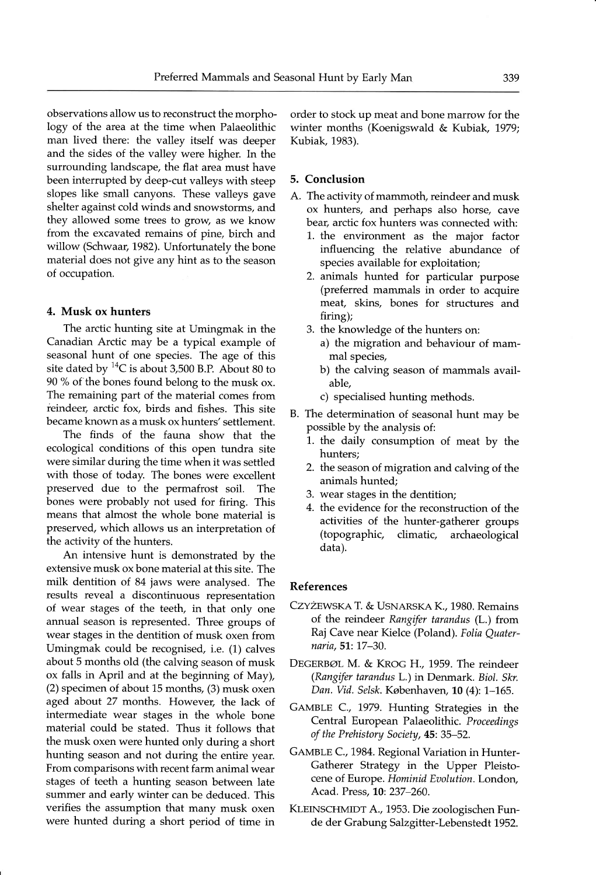observations allow us to reconstruct the morphology of the area at the time when Palaeolithic man lived there: the valley itself was deeper and the sides of the valley were higher. In the surrounding landscape, the flat area must have been interrupted by deep-cut valleys with steep slopes like small canyons. These valleys gave shelter against cold winds and snowstorms, and they allowed some trees to grow, as we know from the excavated remains of pine, birch and willow (Schwaar, 1982). Unfortunately the bone material does not give any hint as to the season of occupation.

### 4. Musk ox hunters

The arctic hunting site at Umingmak in the Canadian Arctic may be a typical example of seasonal hunt of one species. The age of this site dated by  ${}^{14}C$  is about 3,500 B.P. About 80 to 90 % of the bones found belong to the musk ox. The remaining part of the material comes from reindeer, arctic fox, birds and fishes. This site became known as a musk ox hunters' settlement.

The finds of the fauna show that the ecological conditions of this open tundra site were similar during the time when it was settled with those of today. The bones were excellent preserved due to the permafrost soil. The bones were probably not used for firing. This means that almost the whole bone material is preserved, which allows us an interpretation of the activity of the hunters.

An intensive hunt is demonstrated by the extensive musk ox bone material at this site. The milk dentition of 84 jaws were analysed. The results reveal a discontinuous representation of wear stages of the teeth, in that only one annual season is represented. Three groups of wear stages in the dentition of musk oxen from Umingmak could be recognised, i.e. (1) calves about 5 months old (the calving season of musk ox falls in April and at the beginning of May), (2) specimen of about 15 months, (3) musk oxen aged about 27 months. However, the lack of intermediate wear stages in the whole bone material could be stated. Thus it follows that the musk oxen were hunted only during a short hunting season and not during the entire year. From comparisons with recent farm animal wear stages of teeth a hunting season between late summer and early winter can be deduced. This verifies the assumption that many musk oxen were hunted during a short period of time in order to stock up meat and bone marrow for the winter months (Koenigswald & Kubiak, 1979; Kubiak, 1983).

## 5. Conclusion

- A. The activity of mammoth, reindeer and musk ox hunters, and perhaps also horse, cave bear, arctic fox hunters was connected with:
	- L. the environment as the major factor influencing the relative abundance of species available for exploitation;
	- 2. animals hunted for particular purpose (preferred mammals in order to acquire meat, skins, bones for structures and firing);
	- 3. the knowledge of the hunters on:
		- a) the migration and behaviour of mammal species,
		- b) the calving season of mammals available,
		- c) specialised hunting methods.
- B. The determination of seasonal hunt mav be possible by the analysis of:
	- L. the daily consumption of meat by the hunters;
	- 2. the season of migration and calving of the animals hunted;
	- 3. wear stages in the dentition;
	- 4. the evidence for the reconstruction of the activities of the hunter-gatherer groups (topographic, climatic, archaeological data).

#### References

- CZYŻEWSKA T. & USNARSKA K., 1980. Remains of the reindeer Rangifer tarandus (L.) from Raj Cave near Kielce (Poland). Folia Quaternaria, 51: 17-30.
- DEGERBØL M. & KROG H., 1959. The reindeer (Rangifer tarandus L.) in Denmark. Biol. Skr. Dan. Vid. Selsk. Københaven, 10 (4): 1-165.
- GAMBLE C., 1979. Hunting Strategies in the Central European Palaeolithic. Proceedings of the Prehistory Society, 45:35-52.
- GAMBLE C., 1984. Regional Variation in Hunter-Gatherer Strategy in the Upper Pleistocene of Europe. Hominid Evolution. London, Acad. Press, 10: 237-260.
- KLEINSCHMIDT A., 1953. Die zoologischen Funde der Grabung Salzgitter-Lebenstedt 1952.